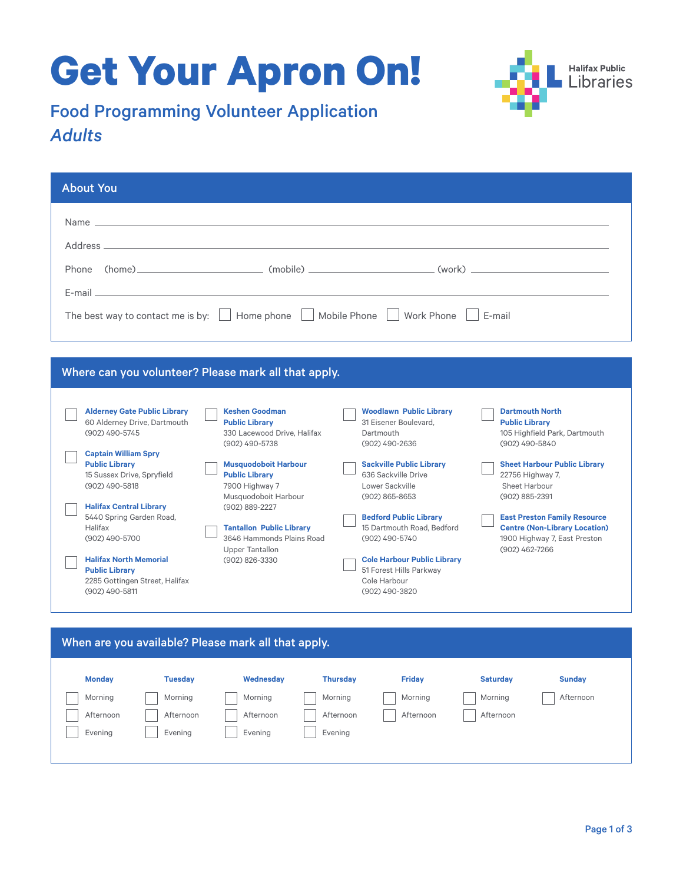# **Get Your Apron On!**



## Food Programming Volunteer Application *Adults*

| <b>About You</b>                                        |                                                                                                                |                                         |                                                 |
|---------------------------------------------------------|----------------------------------------------------------------------------------------------------------------|-----------------------------------------|-------------------------------------------------|
|                                                         |                                                                                                                |                                         |                                                 |
|                                                         |                                                                                                                |                                         |                                                 |
|                                                         |                                                                                                                |                                         |                                                 |
| Phone                                                   |                                                                                                                |                                         |                                                 |
|                                                         | E-mail and the contract of the contract of the contract of the contract of the contract of the contract of the |                                         |                                                 |
| The best way to contact me is by:                       | Home phone                                                                                                     | Work Phone<br>Mobile Phone              | $\vert$ $\vert$ F-mail                          |
|                                                         |                                                                                                                |                                         |                                                 |
|                                                         |                                                                                                                |                                         |                                                 |
|                                                         | Where can you volunteer? Please mark all that apply.                                                           |                                         |                                                 |
|                                                         |                                                                                                                |                                         |                                                 |
| <b>Alderney Gate Public Library</b>                     | <b>Keshen Goodman</b>                                                                                          | <b>Woodlawn Public Library</b>          | <b>Dartmouth North</b>                          |
| 60 Alderney Drive, Dartmouth                            | <b>Public Library</b>                                                                                          | 31 Eisener Boulevard.                   | <b>Public Library</b>                           |
| (902) 490-5745                                          | 330 Lacewood Drive, Halifax<br>(902) 490-5738                                                                  | Dartmouth<br>(902) 490-2636             | 105 Highfield Park, Dartmouth<br>(902) 490-5840 |
| <b>Captain William Spry</b>                             |                                                                                                                |                                         |                                                 |
| <b>Public Library</b>                                   | <b>Musquodoboit Harbour</b>                                                                                    | <b>Sackville Public Library</b>         | <b>Sheet Harbour Public Library</b>             |
| 15 Sussex Drive, Spryfield                              | <b>Public Library</b>                                                                                          | 636 Sackville Drive                     | 22756 Highway 7,                                |
| (902) 490-5818                                          | 7900 Highway 7                                                                                                 | Lower Sackville                         | Sheet Harbour                                   |
|                                                         | Musquodoboit Harbour                                                                                           | (902) 865-8653                          | (902) 885-2391                                  |
| <b>Halifax Central Library</b>                          | (902) 889-2227                                                                                                 |                                         |                                                 |
| 5440 Spring Garden Road,                                |                                                                                                                | <b>Bedford Public Library</b>           | <b>East Preston Family Resource</b>             |
| Halifax                                                 | <b>Tantallon Public Library</b>                                                                                | 15 Dartmouth Road, Bedford              | <b>Centre (Non-Library Location)</b>            |
| (902) 490-5700                                          | 3646 Hammonds Plains Road                                                                                      | (902) 490-5740                          | 1900 Highway 7, East Preston                    |
|                                                         | <b>Upper Tantallon</b>                                                                                         |                                         | (902) 462-7266                                  |
| <b>Halifax North Memorial</b>                           | (902) 826-3330                                                                                                 | <b>Cole Harbour Public Library</b>      |                                                 |
| <b>Public Library</b><br>2285 Gottingen Street, Halifax |                                                                                                                | 51 Forest Hills Parkway<br>Cole Harbour |                                                 |

| When are you available? Please mark all that apply. |                |           |                 |               |                 |               |
|-----------------------------------------------------|----------------|-----------|-----------------|---------------|-----------------|---------------|
| <b>Monday</b>                                       | <b>Tuesday</b> | Wednesday | <b>Thursday</b> | <b>Friday</b> | <b>Saturday</b> | <b>Sunday</b> |
| Morning                                             | Morning        | Morning   | Morning         | Morning       | Morning         | Afternoon     |
| Afternoon                                           | Afternoon      | Afternoon | Afternoon       | Afternoon     | Afternoon       |               |
| Evening                                             | Evening        | Evening   | Evening         |               |                 |               |
|                                                     |                |           |                 |               |                 |               |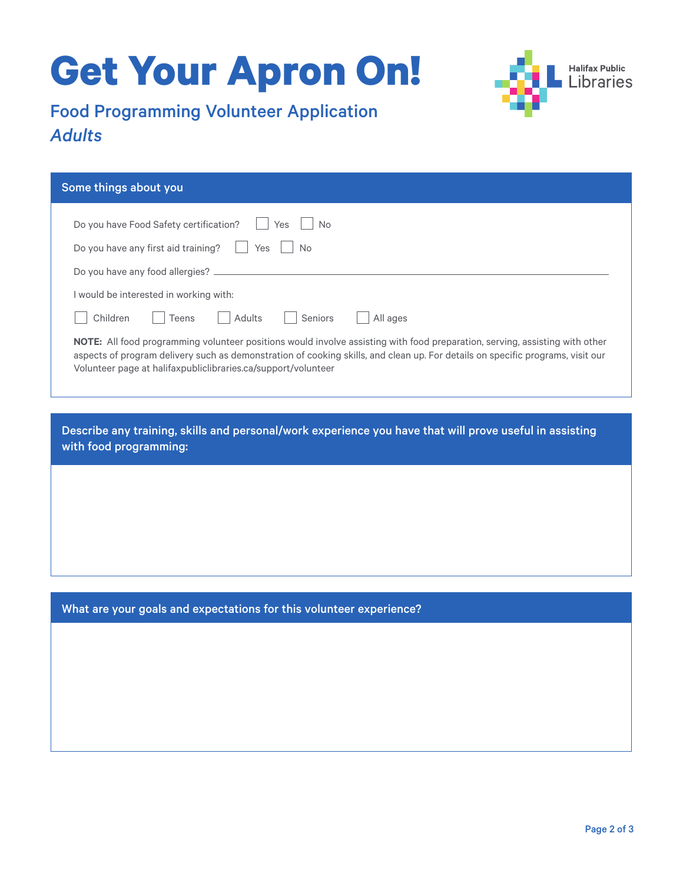# **Get Your Apron On!**



## Food Programming Volunteer Application *Adults*

| Some things about you                                                                                                                                                                                                                                                                                                          |
|--------------------------------------------------------------------------------------------------------------------------------------------------------------------------------------------------------------------------------------------------------------------------------------------------------------------------------|
| Do you have Food Safety certification?<br>Yes<br>No.                                                                                                                                                                                                                                                                           |
| Do you have any first aid training?<br>Yes<br><b>No</b>                                                                                                                                                                                                                                                                        |
| Do you have any food allergies?                                                                                                                                                                                                                                                                                                |
| would be interested in working with:                                                                                                                                                                                                                                                                                           |
| Adults<br>Seniors<br>All ages<br>Children<br>Teens                                                                                                                                                                                                                                                                             |
| NOTE: All food programming volunteer positions would involve assisting with food preparation, serving, assisting with other<br>aspects of program delivery such as demonstration of cooking skills, and clean up. For details on specific programs, visit our<br>Volunteer page at halifaxpubliclibraries.ca/support/volunteer |

Describe any training, skills and personal/work experience you have that will prove useful in assisting with food programming:

What are your goals and expectations for this volunteer experience?